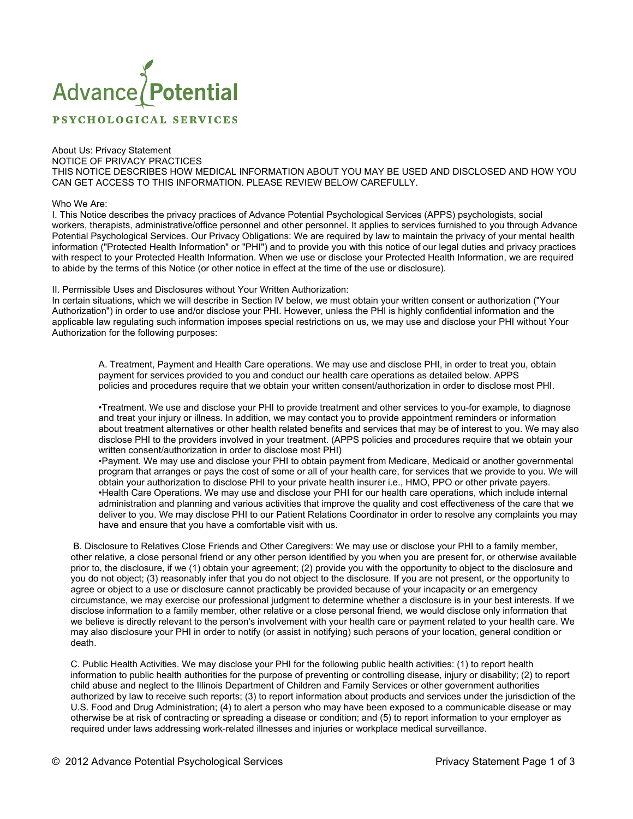# Advance Potential

**PSYCHOLOGICAL SERVICES** 

# About Us: Privacy Statement

NOTICE OF PRIVACY PRACTICES

THIS NOTICE DESCRIBES HOW MEDICAL INFORMATION ABOUT YOU MAY BE USED AND DISCLOSED AND HOW YOU CAN GET ACCESS TO THIS INFORMATION. PLEASE REVIEW BELOW CAREFULLY.

### Who We Are:

I. This Notice describes the privacy practices of Advance Potential Psychological Services (APPS) psychologists, social workers, therapists, administrative/office personnel and other personnel. It applies to services furnished to you through Advance Potential Psychological Services. Our Privacy Obligations: We are required by law to maintain the privacy of your mental health information ("Protected Health Information" or "PHI") and to provide you with this notice of our legal duties and privacy practices with respect to your Protected Health Information. When we use or disclose your Protected Health Information, we are required to abide by the terms of this Notice (or other notice in effect at the time of the use or disclosure).

## II. Permissible Uses and Disclosures without Your Written Authorization:

In certain situations, which we will describe in Section IV below, we must obtain your written consent or authorization ("Your Authorization") in order to use and/or disclose your PHI. However, unless the PHI is highly confidential information and the applicable law regulating such information imposes special restrictions on us, we may use and disclose your PHI without Your Authorization for the following purposes:

A. Treatment, Payment and Health Care operations. We may use and disclose PHI, in order to treat you, obtain payment for services provided to you and conduct our health care operations as detailed below. APPS policies and procedures require that we obtain your written consent/authorization in order to disclose most PHI.

•Treatment. We use and disclose your PHI to provide treatment and other services to you-for example, to diagnose and treat your injury or illness. In addition, we may contact you to provide appointment reminders or information about treatment alternatives or other health related benefits and services that may be of interest to you. We may also disclose PHI to the providers involved in your treatment. (APPS policies and procedures require that we obtain your written consent/authorization in order to disclose most PHI)

•Payment. We may use and disclose your PHI to obtain payment from Medicare, Medicaid or another governmental program that arranges or pays the cost of some or all of your health care, for services that we provide to you. We will obtain your authorization to disclose PHI to your private health insurer i.e., HMO, PPO or other private payers. •Health Care Operations. We may use and disclose your PHI for our health care operations, which include internal administration and planning and various activities that improve the quality and cost effectiveness of the care that we deliver to you. We may disclose PHI to our Patient Relations Coordinator in order to resolve any complaints you may have and ensure that you have a comfortable visit with us.

 B. Disclosure to Relatives Close Friends and Other Caregivers: We may use or disclose your PHI to a family member, other relative, a close personal friend or any other person identified by you when you are present for, or otherwise available prior to, the disclosure, if we (1) obtain your agreement; (2) provide you with the opportunity to object to the disclosure and you do not object; (3) reasonably infer that you do not object to the disclosure. If you are not present, or the opportunity to agree or object to a use or disclosure cannot practicably be provided because of your incapacity or an emergency circumstance, we may exercise our professional judgment to determine whether a disclosure is in your best interests. If we disclose information to a family member, other relative or a close personal friend, we would disclose only information that we believe is directly relevant to the person's involvement with your health care or payment related to your health care. We may also disclosure your PHI in order to notify (or assist in notifying) such persons of your location, general condition or death.

C. Public Health Activities. We may disclose your PHI for the following public health activities: (1) to report health information to public health authorities for the purpose of preventing or controlling disease, injury or disability; (2) to report child abuse and neglect to the Illinois Department of Children and Family Services or other government authorities authorized by law to receive such reports; (3) to report information about products and services under the jurisdiction of the U.S. Food and Drug Administration; (4) to alert a person who may have been exposed to a communicable disease or may otherwise be at risk of contracting or spreading a disease or condition; and (5) to report information to your employer as required under laws addressing work-related illnesses and injuries or workplace medical surveillance.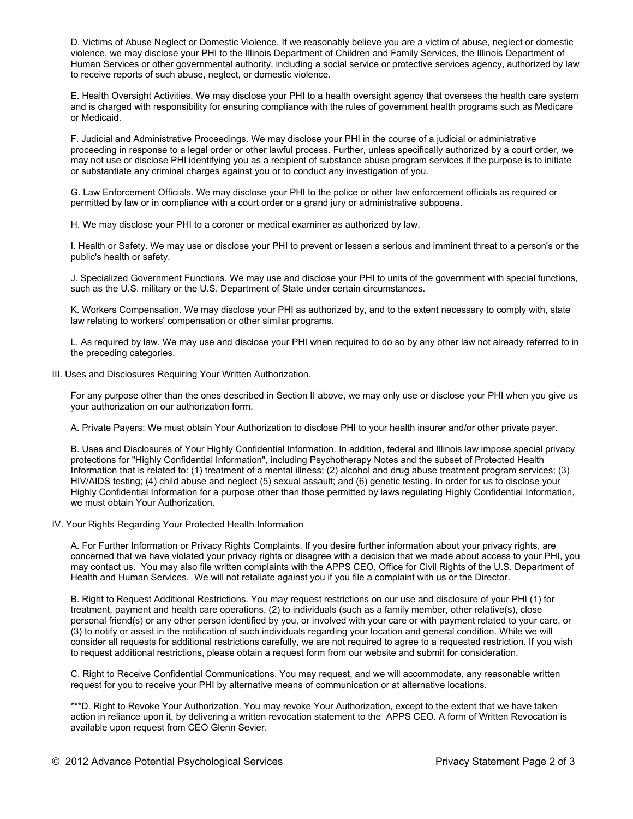D. Victims of Abuse Neglect or Domestic Violence. If we reasonably believe you are a victim of abuse, neglect or domestic violence, we may disclose your PHI to the Illinois Department of Children and Family Services, the Illinois Department of Human Services or other governmental authority, including a social service or protective services agency, authorized by law to receive reports of such abuse, neglect, or domestic violence.

E. Health Oversight Activities. We may disclose your PHI to a health oversight agency that oversees the health care system and is charged with responsibility for ensuring compliance with the rules of government health programs such as Medicare or Medicaid.

F. Judicial and Administrative Proceedings. We may disclose your PHI in the course of a judicial or administrative proceeding in response to a legal order or other lawful process. Further, unless specifically authorized by a court order, we may not use or disclose PHI identifying you as a recipient of substance abuse program services if the purpose is to initiate or substantiate any criminal charges against you or to conduct any investigation of you.

G. Law Enforcement Officials. We may disclose your PHI to the police or other law enforcement officials as required or permitted by law or in compliance with a court order or a grand jury or administrative subpoena.

H. We may disclose your PHI to a coroner or medical examiner as authorized by law.

I. Health or Safety. We may use or disclose your PHI to prevent or lessen a serious and imminent threat to a person's or the public's health or safety.

J. Specialized Government Functions. We may use and disclose your PHI to units of the government with special functions, such as the U.S. military or the U.S. Department of State under certain circumstances.

K. Workers Compensation. We may disclose your PHI as authorized by, and to the extent necessary to comply with, state law relating to workers' compensation or other similar programs.

L. As required by law. We may use and disclose your PHI when required to do so by any other law not already referred to in the preceding categories.

III. Uses and Disclosures Requiring Your Written Authorization.

For any purpose other than the ones described in Section II above, we may only use or disclose your PHI when you give us your authorization on our authorization form.

A. Private Payers: We must obtain Your Authorization to disclose PHI to your health insurer and/or other private payer.

B. Uses and Disclosures of Your Highly Confidential Information. In addition, federal and Illinois law impose special privacy protections for "Highly Confidential Information", including Psychotherapy Notes and the subset of Protected Health Information that is related to: (1) treatment of a mental illness; (2) alcohol and drug abuse treatment program services; (3) HIV/AIDS testing; (4) child abuse and neglect (5) sexual assault; and (6) genetic testing. In order for us to disclose your Highly Confidential Information for a purpose other than those permitted by laws regulating Highly Confidential Information, we must obtain Your Authorization.

IV. Your Rights Regarding Your Protected Health Information

A. For Further Information or Privacy Rights Complaints. If you desire further information about your privacy rights, are concerned that we have violated your privacy rights or disagree with a decision that we made about access to your PHI, you may contact us. You may also file written complaints with the APPS CEO, Office for Civil Rights of the U.S. Department of Health and Human Services. We will not retaliate against you if you file a complaint with us or the Director.

B. Right to Request Additional Restrictions. You may request restrictions on our use and disclosure of your PHI (1) for treatment, payment and health care operations, (2) to individuals (such as a family member, other relative(s), close personal friend(s) or any other person identified by you, or involved with your care or with payment related to your care, or (3) to notify or assist in the notification of such individuals regarding your location and general condition. While we will consider all requests for additional restrictions carefully, we are not required to agree to a requested restriction. If you wish to request additional restrictions, please obtain a request form from our website and submit for consideration.

C. Right to Receive Confidential Communications. You may request, and we will accommodate, any reasonable written request for you to receive your PHI by alternative means of communication or at alternative locations.

\*\*\*D. Right to Revoke Your Authorization. You may revoke Your Authorization, except to the extent that we have taken action in reliance upon it, by delivering a written revocation statement to the APPS CEO. A form of Written Revocation is available upon request from CEO Glenn Sevier.